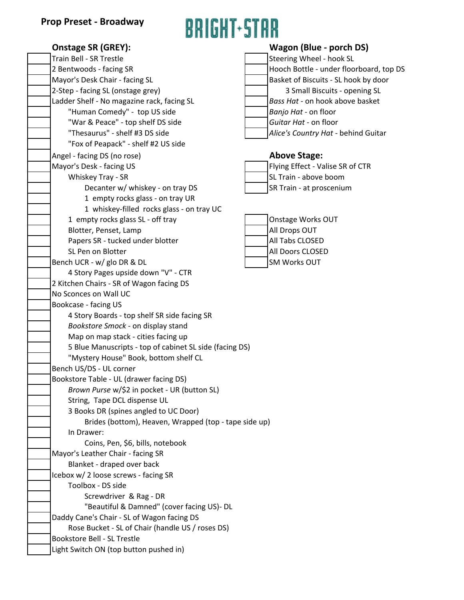# **BRIGHT-STAR**

| <b>Onstage SR (GREY):</b>                               | Wagon (Blue - porch DS)                 |
|---------------------------------------------------------|-----------------------------------------|
| Train Bell - SR Trestle                                 | Steering Wheel - hook SL                |
| 2 Bentwoods - facing SR                                 | Hooch Bottle - under floorboard, top DS |
| Mayor's Desk Chair - facing SL                          | Basket of Biscuits - SL hook by door    |
| 2-Step - facing SL (onstage grey)                       | 3 Small Biscuits - opening SL           |
| Ladder Shelf - No magazine rack, facing SL              | Bass Hat - on hook above basket         |
| "Human Comedy" - top US side                            | Banjo Hat - on floor                    |
| "War & Peace" - top shelf DS side                       | Guitar Hat - on floor                   |
| "Thesaurus" - shelf #3 DS side                          | Alice's Country Hat - behind Guitar     |
| "Fox of Peapack" - shelf #2 US side                     |                                         |
| Angel - facing DS (no rose)                             | <b>Above Stage:</b>                     |
| Mayor's Desk - facing US                                | Flying Effect - Valise SR of CTR        |
| Whiskey Tray - SR                                       | SL Train - above boom                   |
| Decanter w/ whiskey - on tray DS                        | SR Train - at proscenium                |
| 1 empty rocks glass - on tray UR                        |                                         |
| 1 whiskey-filled rocks glass - on tray UC               |                                         |
| 1 empty rocks glass SL - off tray                       | Onstage Works OUT                       |
| Blotter, Penset, Lamp                                   | All Drops OUT                           |
| Papers SR - tucked under blotter                        | All Tabs CLOSED                         |
| SL Pen on Blotter                                       | All Doors CLOSED                        |
| Bench UCR - w/ glo DR & DL                              | <b>SM Works OUT</b>                     |
| 4 Story Pages upside down "V" - CTR                     |                                         |
| 2 Kitchen Chairs - SR of Wagon facing DS                |                                         |
| No Sconces on Wall UC                                   |                                         |
| Bookcase - facing US                                    |                                         |
| 4 Story Boards - top shelf SR side facing SR            |                                         |
| Bookstore Smock - on display stand                      |                                         |
| Map on map stack - cities facing up                     |                                         |
| 5 Blue Manuscripts - top of cabinet SL side (facing DS) |                                         |
| "Mystery House" Book, bottom shelf CL                   |                                         |
| Bench US/DS - UL corner                                 |                                         |
| Bookstore Table - UL (drawer facing DS)                 |                                         |
| Brown Purse w/\$2 in pocket - UR (button SL)            |                                         |
| String, Tape DCL dispense UL                            |                                         |
| 3 Books DR (spines angled to UC Door)                   |                                         |
| Brides (bottom), Heaven, Wrapped (top - tape side up)   |                                         |
| In Drawer:                                              |                                         |
| Coins, Pen, \$6, bills, notebook                        |                                         |
| Mayor's Leather Chair - facing SR                       |                                         |
| Blanket - draped over back                              |                                         |
| Icebox w/ 2 loose screws - facing SR                    |                                         |
| Toolbox - DS side                                       |                                         |
| Screwdriver & Rag - DR                                  |                                         |
| "Beautiful & Damned" (cover facing US)- DL              |                                         |
| Daddy Cane's Chair - SL of Wagon facing DS              |                                         |
| Rose Bucket - SL of Chair (handle US / roses DS)        |                                         |
| <b>Bookstore Bell - SL Trestle</b>                      |                                         |
| Light Switch ON (top button pushed in)                  |                                         |
|                                                         |                                         |

| Wagon (Blue - porch DS)                |  |  |
|----------------------------------------|--|--|
| Steering Wheel - hook SL               |  |  |
| Hooch Bottle - under floorboard, top D |  |  |
| Basket of Biscuits - SL hook by door   |  |  |
| 3 Small Biscuits - opening SL          |  |  |
|                                        |  |  |

### Above Stage:

| Flying Effect - Valise SR of CTR |
|----------------------------------|
| SL Train - above boom            |
| SR Train - at proscenium         |

|  | Onstage Works OUT   |
|--|---------------------|
|  | All Drops OUT       |
|  | All Tabs CLOSED     |
|  | All Doors CLOSED    |
|  | <b>SM Works OUT</b> |
|  |                     |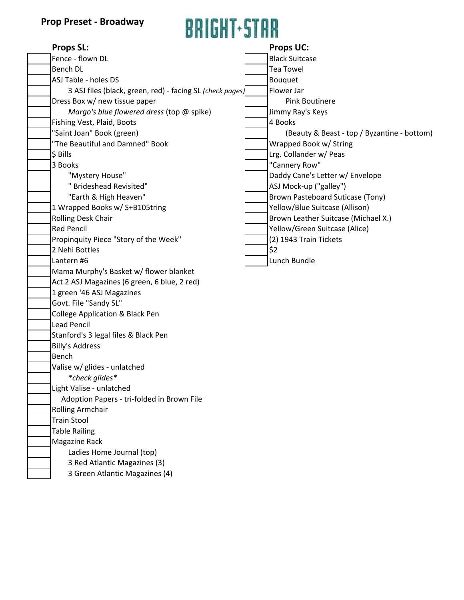### **Prop Preset - Broadway**



| минали мини                                               |  |                                             |  |  |
|-----------------------------------------------------------|--|---------------------------------------------|--|--|
| <b>Props SL:</b>                                          |  | <b>Props UC:</b>                            |  |  |
| Fence - flown DL                                          |  | <b>Black Suitcase</b>                       |  |  |
| <b>Bench DL</b>                                           |  | <b>Tea Towel</b>                            |  |  |
| ASJ Table - holes DS                                      |  | <b>Bouquet</b>                              |  |  |
| 3 ASJ files (black, green, red) - facing SL (check pages) |  | Flower Jar                                  |  |  |
| Dress Box w/ new tissue paper                             |  | <b>Pink Boutinere</b>                       |  |  |
| Margo's blue flowered dress (top @ spike)                 |  | Jimmy Ray's Keys                            |  |  |
| Fishing Vest, Plaid, Boots                                |  | 4 Books                                     |  |  |
| "Saint Joan" Book (green)                                 |  | (Beauty & Beast - top / Byzantine - bottom) |  |  |
| "The Beautiful and Damned" Book                           |  | Wrapped Book w/ String                      |  |  |
| \$ Bills                                                  |  | Lrg. Collander w/ Peas                      |  |  |
| 3 Books                                                   |  | "Cannery Row"                               |  |  |
| "Mystery House"                                           |  | Daddy Cane's Letter w/ Envelope             |  |  |
| " Brideshead Revisited"                                   |  | ASJ Mock-up ("galley")                      |  |  |
| "Earth & High Heaven"                                     |  | Brown Pasteboard Suticase (Tony)            |  |  |
| 1 Wrapped Books w/ S+B105tring                            |  | Yellow/Blue Suitcase (Allison)              |  |  |
| Rolling Desk Chair                                        |  | Brown Leather Suitcase (Michael X.)         |  |  |
| <b>Red Pencil</b>                                         |  | Yellow/Green Suitcase (Alice)               |  |  |
| Propinquity Piece "Story of the Week"                     |  | (2) 1943 Train Tickets                      |  |  |
| 2 Nehi Bottles                                            |  | \$2                                         |  |  |
| Lantern #6                                                |  | Lunch Bundle                                |  |  |
| Mama Murphy's Basket w/ flower blanket                    |  |                                             |  |  |
| Act 2 ASJ Magazines (6 green, 6 blue, 2 red)              |  |                                             |  |  |
| 1 green '46 ASJ Magazines                                 |  |                                             |  |  |
| Govt. File "Sandy SL"                                     |  |                                             |  |  |
| <b>College Application &amp; Black Pen</b>                |  |                                             |  |  |
| <b>Lead Pencil</b>                                        |  |                                             |  |  |
| Stanford's 3 legal files & Black Pen                      |  |                                             |  |  |
| <b>Billy's Address</b>                                    |  |                                             |  |  |
| Bench                                                     |  |                                             |  |  |
| Valise w/ glides - unlatched                              |  |                                             |  |  |
| *check glides*                                            |  |                                             |  |  |
| Light Valise - unlatched                                  |  |                                             |  |  |
| Adoption Papers - tri-folded in Brown File                |  |                                             |  |  |
| <b>Rolling Armchair</b>                                   |  |                                             |  |  |
| <b>Train Stool</b>                                        |  |                                             |  |  |
| <b>Table Railing</b>                                      |  |                                             |  |  |
| <b>Magazine Rack</b>                                      |  |                                             |  |  |
| Ladies Home Journal (top)                                 |  |                                             |  |  |
| 3 Red Atlantic Magazines (3)                              |  |                                             |  |  |

3 Green Atlantic Magazines (4)